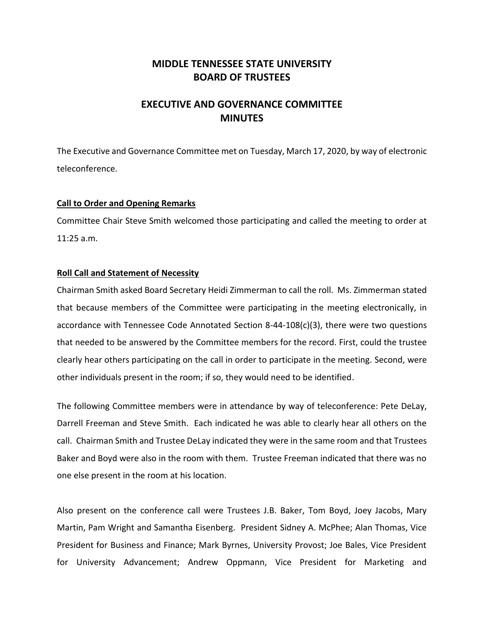# **MIDDLE TENNESSEE STATE UNIVERSITY BOARD OF TRUSTEES**

# **EXECUTIVE AND GOVERNANCE COMMITTEE MINUTES**

The Executive and Governance Committee met on Tuesday, March 17, 2020, by way of electronic teleconference.

## **Call to Order and Opening Remarks**

Committee Chair Steve Smith welcomed those participating and called the meeting to order at 11:25 a.m.

## **Roll Call and Statement of Necessity**

Chairman Smith asked Board Secretary Heidi Zimmerman to call the roll. Ms. Zimmerman stated that because members of the Committee were participating in the meeting electronically, in accordance with Tennessee Code Annotated Section 8-44-108(c)(3), there were two questions that needed to be answered by the Committee members for the record. First, could the trustee clearly hear others participating on the call in order to participate in the meeting. Second, were other individuals present in the room; if so, they would need to be identified.

The following Committee members were in attendance by way of teleconference: Pete DeLay, Darrell Freeman and Steve Smith. Each indicated he was able to clearly hear all others on the call. Chairman Smith and Trustee DeLay indicated they were in the same room and that Trustees Baker and Boyd were also in the room with them. Trustee Freeman indicated that there was no one else present in the room at his location.

Also present on the conference call were Trustees J.B. Baker, Tom Boyd, Joey Jacobs, Mary Martin, Pam Wright and Samantha Eisenberg. President Sidney A. McPhee; Alan Thomas, Vice President for Business and Finance; Mark Byrnes, University Provost; Joe Bales, Vice President for University Advancement; Andrew Oppmann, Vice President for Marketing and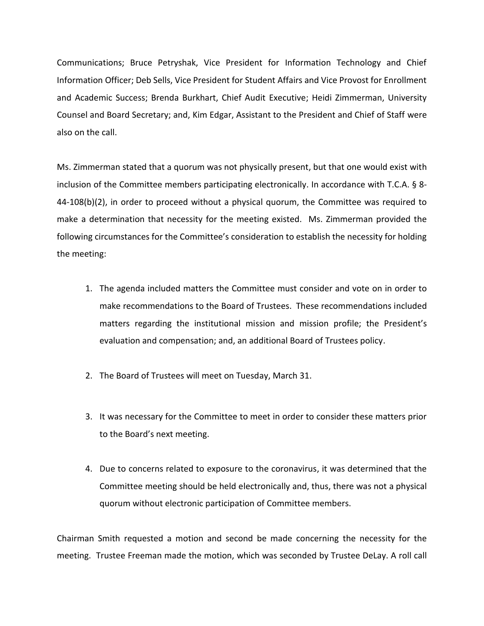Communications; Bruce Petryshak, Vice President for Information Technology and Chief Information Officer; Deb Sells, Vice President for Student Affairs and Vice Provost for Enrollment and Academic Success; Brenda Burkhart, Chief Audit Executive; Heidi Zimmerman, University Counsel and Board Secretary; and, Kim Edgar, Assistant to the President and Chief of Staff were also on the call.

Ms. Zimmerman stated that a quorum was not physically present, but that one would exist with inclusion of the Committee members participating electronically. In accordance with T.C.A. § 8- 44-108(b)(2), in order to proceed without a physical quorum, the Committee was required to make a determination that necessity for the meeting existed. Ms. Zimmerman provided the following circumstances for the Committee's consideration to establish the necessity for holding the meeting:

- 1. The agenda included matters the Committee must consider and vote on in order to make recommendations to the Board of Trustees. These recommendations included matters regarding the institutional mission and mission profile; the President's evaluation and compensation; and, an additional Board of Trustees policy.
- 2. The Board of Trustees will meet on Tuesday, March 31.
- 3. It was necessary for the Committee to meet in order to consider these matters prior to the Board's next meeting.
- 4. Due to concerns related to exposure to the coronavirus, it was determined that the Committee meeting should be held electronically and, thus, there was not a physical quorum without electronic participation of Committee members.

Chairman Smith requested a motion and second be made concerning the necessity for the meeting. Trustee Freeman made the motion, which was seconded by Trustee DeLay. A roll call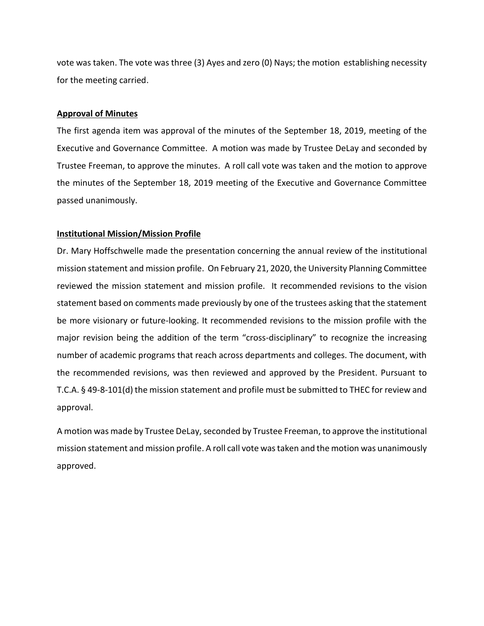vote was taken. The vote was three (3) Ayes and zero (0) Nays; the motion establishing necessity for the meeting carried.

#### **Approval of Minutes**

The first agenda item was approval of the minutes of the September 18, 2019, meeting of the Executive and Governance Committee. A motion was made by Trustee DeLay and seconded by Trustee Freeman, to approve the minutes. A roll call vote was taken and the motion to approve the minutes of the September 18, 2019 meeting of the Executive and Governance Committee passed unanimously.

#### **Institutional Mission/Mission Profile**

Dr. Mary Hoffschwelle made the presentation concerning the annual review of the institutional mission statement and mission profile. On February 21, 2020, the University Planning Committee reviewed the mission statement and mission profile. It recommended revisions to the vision statement based on comments made previously by one of the trustees asking that the statement be more visionary or future-looking. It recommended revisions to the mission profile with the major revision being the addition of the term "cross-disciplinary" to recognize the increasing number of academic programs that reach across departments and colleges. The document, with the recommended revisions, was then reviewed and approved by the President. Pursuant to T.C.A. § 49-8-101(d) the mission statement and profile must be submitted to THEC for review and approval.

A motion was made by Trustee DeLay, seconded by Trustee Freeman, to approve the institutional mission statement and mission profile. A roll call vote was taken and the motion was unanimously approved.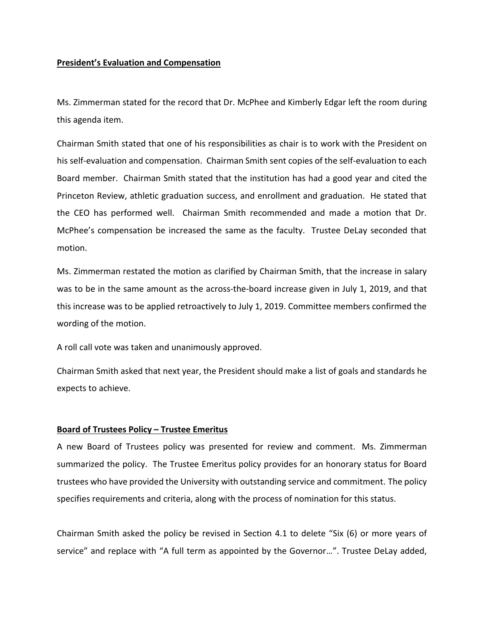### **President's Evaluation and Compensation**

Ms. Zimmerman stated for the record that Dr. McPhee and Kimberly Edgar left the room during this agenda item.

Chairman Smith stated that one of his responsibilities as chair is to work with the President on his self-evaluation and compensation. Chairman Smith sent copies of the self-evaluation to each Board member. Chairman Smith stated that the institution has had a good year and cited the Princeton Review, athletic graduation success, and enrollment and graduation. He stated that the CEO has performed well. Chairman Smith recommended and made a motion that Dr. McPhee's compensation be increased the same as the faculty. Trustee DeLay seconded that motion.

Ms. Zimmerman restated the motion as clarified by Chairman Smith, that the increase in salary was to be in the same amount as the across-the-board increase given in July 1, 2019, and that this increase was to be applied retroactively to July 1, 2019. Committee members confirmed the wording of the motion.

A roll call vote was taken and unanimously approved.

Chairman Smith asked that next year, the President should make a list of goals and standards he expects to achieve.

# **Board of Trustees Policy – Trustee Emeritus**

A new Board of Trustees policy was presented for review and comment. Ms. Zimmerman summarized the policy. The Trustee Emeritus policy provides for an honorary status for Board trustees who have provided the University with outstanding service and commitment. The policy specifies requirements and criteria, along with the process of nomination for this status.

Chairman Smith asked the policy be revised in Section 4.1 to delete "Six (6) or more years of service" and replace with "A full term as appointed by the Governor…". Trustee DeLay added,